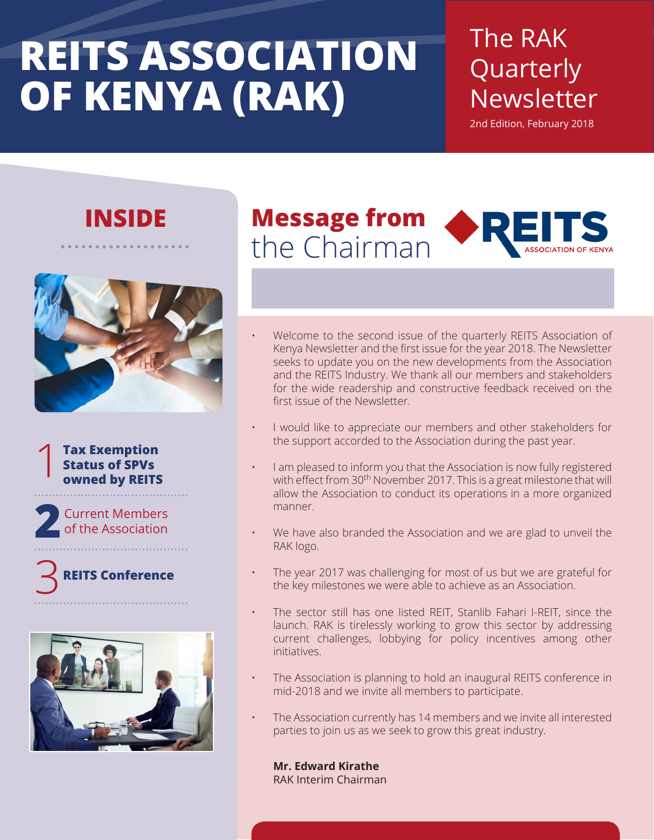# **REITS ASSOCIATION OF KENYA (RAK)**

### The RAK Quarterly Newsletter

2nd Edition, February 2018

### **INSIDE**



**Tax Exemption Status of SPVs owned by REITS** 1

Current Members **2** of the Association

### **REITS Conference** 3



### **Message from** the Chairman

- Welcome to the second issue of the quarterly REITS Association of Kenya Newsletter and the first issue for the year 2018. The Newsletter seeks to update you on the new developments from the Association and the REITS Industry. We thank all our members and stakeholders for the wide readership and constructive feedback received on the first issue of the Newsletter.
- I would like to appreciate our members and other stakeholders for the support accorded to the Association during the past year.
- I am pleased to inform you that the Association is now fully registered with effect from 30<sup>th</sup> November 2017. This is a great milestone that will allow the Association to conduct its operations in a more organized manner.
- We have also branded the Association and we are glad to unveil the RAK logo.
- The year 2017 was challenging for most of us but we are grateful for the key milestones we were able to achieve as an Association.
- The sector still has one listed REIT, Stanlib Fahari I-REIT, since the launch. RAK is tirelessly working to grow this sector by addressing current challenges, lobbying for policy incentives among other initiatives.
- The Association is planning to hold an inaugural REITS conference in mid-2018 and we invite all members to participate.
- The Association currently has 14 members and we invite all interested parties to join us as we seek to grow this great industry.

**Mr. Edward Kirathe** RAK Interim Chairman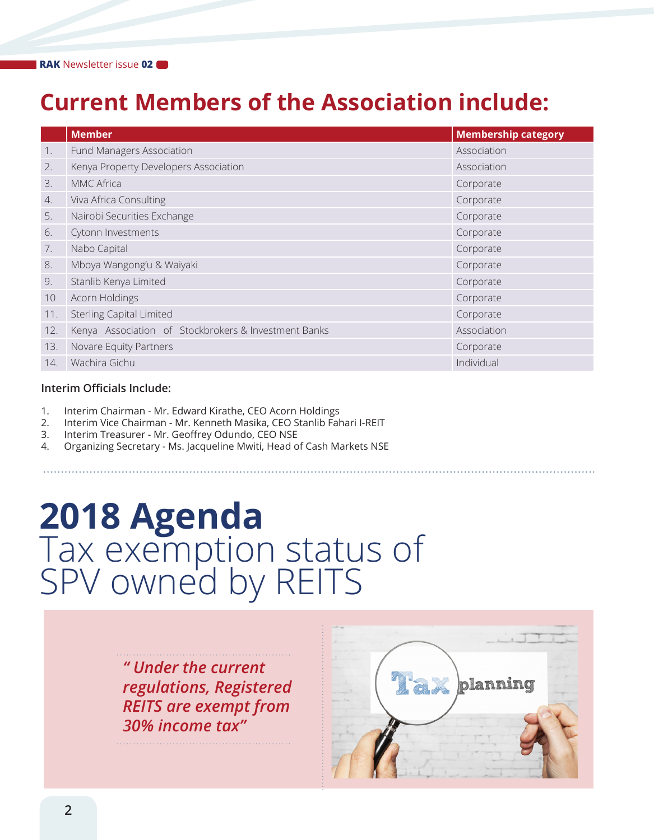### **Current Members of the Association include:**

|     | <b>Member</b>                                        | <b>Membership category</b> |
|-----|------------------------------------------------------|----------------------------|
| 1.  | Fund Managers Association                            | Association                |
| 2.  | Kenya Property Developers Association                | Association                |
| 3.  | MMC Africa                                           | Corporate                  |
| 4.  | Viva Africa Consulting                               | Corporate                  |
| 5.  | Nairobi Securities Exchange                          | Corporate                  |
| 6.  | Cytonn Investments                                   | Corporate                  |
| 7.  | Nabo Capital                                         | Corporate                  |
| 8.  | Mboya Wangong'u & Waiyaki                            | Corporate                  |
| 9.  | Stanlib Kenya Limited                                | Corporate                  |
| 10  | Acorn Holdings                                       | Corporate                  |
| 11. | <b>Sterling Capital Limited</b>                      | Corporate                  |
| 12. | Kenya Association of Stockbrokers & Investment Banks | Association                |
| 13. | Novare Equity Partners                               | Corporate                  |
| 14. | Wachira Gichu                                        | Individual                 |

#### **Interim Officials Include:**

- 1. Interim Chairman Mr. Edward Kirathe, CEO Acorn Holdings
- 2. Interim Vice Chairman Mr. Kenneth Masika, CEO Stanlib Fahari I-REIT
- 3. Interim Treasurer Mr. Geoffrey Odundo, CEO NSE
- 4. Organizing Secretary Ms. Jacqueline Mwiti, Head of Cash Markets NSE

## **2018 Agenda** Tax exemption status of SPV owned by REITS

*" Under the current regulations, Registered REITS are exempt from 30% income tax"*